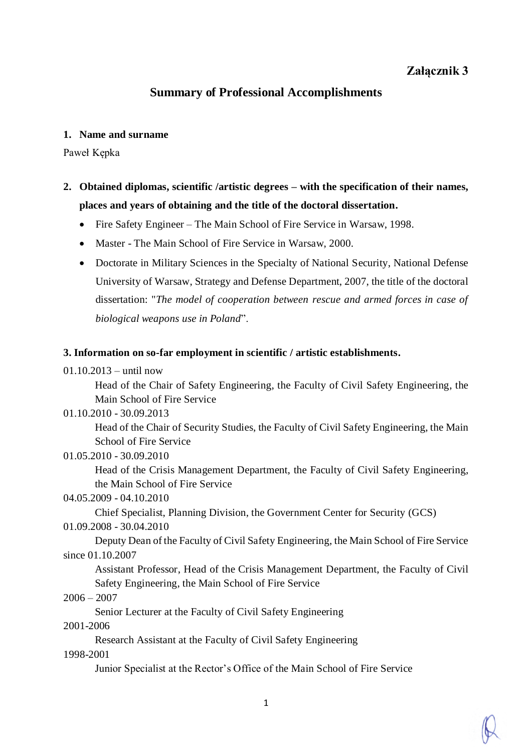# **Załącznik 3**

## **Summary of Professional Accomplishments**

#### **1. Name and surname**

Paweł Kępka

- **2. Obtained diplomas, scientific /artistic degrees – with the specification of their names, places and years of obtaining and the title of the doctoral dissertation.** 
	- Fire Safety Engineer The Main School of Fire Service in Warsaw, 1998.
	- Master The Main School of Fire Service in Warsaw, 2000.
	- Doctorate in Military Sciences in the Specialty of National Security, National Defense University of Warsaw, Strategy and Defense Department, 2007, the title of the doctoral dissertation: "*The model of cooperation between rescue and armed forces in case of biological weapons use in Poland*".

## **3. Information on so-far employment in scientific / artistic establishments.**

01.10.2013 – until now

Head of the Chair of Safety Engineering, the Faculty of Civil Safety Engineering, the Main School of Fire Service

#### 01.10.2010 - 30.09.2013

Head of the Chair of Security Studies, the Faculty of Civil Safety Engineering, the Main School of Fire Service

## 01.05.2010 - 30.09.2010

Head of the Crisis Management Department, the Faculty of Civil Safety Engineering, the Main School of Fire Service

04.05.2009 - 04.10.2010

Chief Specialist, Planning Division, the Government Center for Security (GCS)

01.09.2008 - 30.04.2010

Deputy Dean of the Faculty of Civil Safety Engineering, the Main School of Fire Service since 01.10.2007

Assistant Professor, Head of the Crisis Management Department, the Faculty of Civil Safety Engineering, the Main School of Fire Service

## $2006 - 2007$

Senior Lecturer at the Faculty of Civil Safety Engineering

## 2001-2006

Research Assistant at the Faculty of Civil Safety Engineering

1998-2001

Junior Specialist at the Rector's Office of the Main School of Fire Service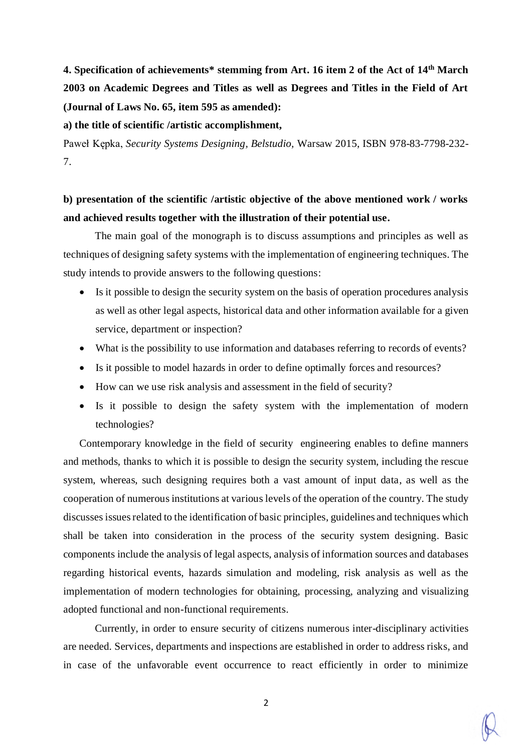**4. Specification of achievements\* stemming from Art. 16 item 2 of the Act of 14th March 2003 on Academic Degrees and Titles as well as Degrees and Titles in the Field of Art (Journal of Laws No. 65, item 595 as amended):**

#### **a) the title of scientific /artistic accomplishment,**

Paweł Kępka, *Security Systems Designing, Belstudio,* Warsaw 2015, ISBN 978-83-7798-232- 7.

# **b) presentation of the scientific /artistic objective of the above mentioned work / works and achieved results together with the illustration of their potential use.**

The main goal of the monograph is to discuss assumptions and principles as well as techniques of designing safety systems with the implementation of engineering techniques. The study intends to provide answers to the following questions:

- Is it possible to design the security system on the basis of operation procedures analysis as well as other legal aspects, historical data and other information available for a given service, department or inspection?
- What is the possibility to use information and databases referring to records of events?
- Is it possible to model hazards in order to define optimally forces and resources?
- How can we use risk analysis and assessment in the field of security?
- Is it possible to design the safety system with the implementation of modern technologies?

Contemporary knowledge in the field of security engineering enables to define manners and methods, thanks to which it is possible to design the security system, including the rescue system, whereas, such designing requires both a vast amount of input data, as well as the cooperation of numerous institutions at various levels of the operation of the country. The study discusses issues related to the identification of basic principles, guidelines and techniques which shall be taken into consideration in the process of the security system designing. Basic components include the analysis of legal aspects, analysis of information sources and databases regarding historical events, hazards simulation and modeling, risk analysis as well as the implementation of modern technologies for obtaining, processing, analyzing and visualizing adopted functional and non-functional requirements.

Currently, in order to ensure security of citizens numerous inter-disciplinary activities are needed. Services, departments and inspections are established in order to address risks, and in case of the unfavorable event occurrence to react efficiently in order to minimize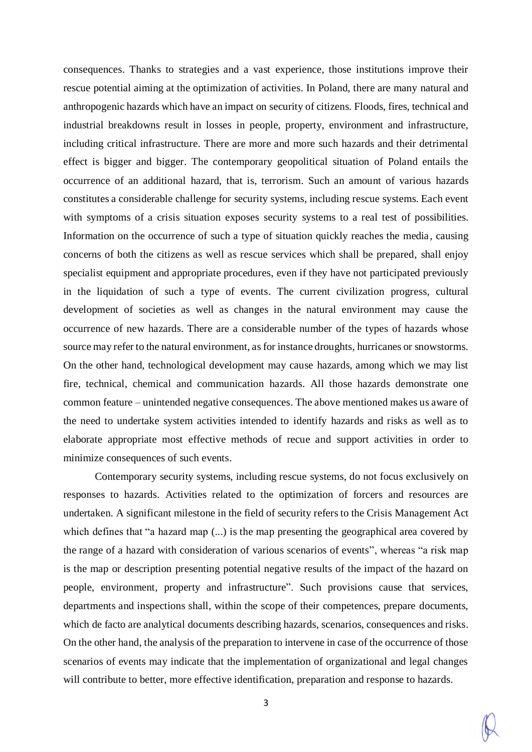consequences. Thanks to strategies and a vast experience, those institutions improve their rescue potential aiming at the optimization of activities. In Poland, there are many natural and anthropogenic hazards which have an impact on security of citizens. Floods, fires, technical and industrial breakdowns result in losses in people, property, environment and infrastructure, including critical infrastructure. There are more and more such hazards and their detrimental effect is bigger and bigger. The contemporary geopolitical situation of Poland entails the occurrence of an additional hazard, that is, terrorism. Such an amount of various hazards constitutes a considerable challenge for security systems, including rescue systems. Each event with symptoms of a crisis situation exposes security systems to a real test of possibilities. Information on the occurrence of such a type of situation quickly reaches the media, causing concerns of both the citizens as well as rescue services which shall be prepared, shall enjoy specialist equipment and appropriate procedures, even if they have not participated previously in the liquidation of such a type of events. The current civilization progress, cultural development of societies as well as changes in the natural environment may cause the occurrence of new hazards. There are a considerable number of the types of hazards whose source may refer to the natural environment, as for instance droughts, hurricanes or snowstorms. On the other hand, technological development may cause hazards, among which we may list fire, technical, chemical and communication hazards. All those hazards demonstrate one common feature – unintended negative consequences. The above mentioned makes us aware of the need to undertake system activities intended to identify hazards and risks as well as to elaborate appropriate most effective methods of recue and support activities in order to minimize consequences of such events.

Contemporary security systems, including rescue systems, do not focus exclusively on responses to hazards. Activities related to the optimization of forcers and resources are undertaken. A significant milestone in the field of security refers to the Crisis Management Act which defines that "a hazard map (...) is the map presenting the geographical area covered by the range of a hazard with consideration of various scenarios of events", whereas "a risk map is the map or description presenting potential negative results of the impact of the hazard on people, environment, property and infrastructure". Such provisions cause that services, departments and inspections shall, within the scope of their competences, prepare documents, which de facto are analytical documents describing hazards, scenarios, consequences and risks. On the other hand, the analysis of the preparation to intervene in case of the occurrence of those scenarios of events may indicate that the implementation of organizational and legal changes will contribute to better, more effective identification, preparation and response to hazards.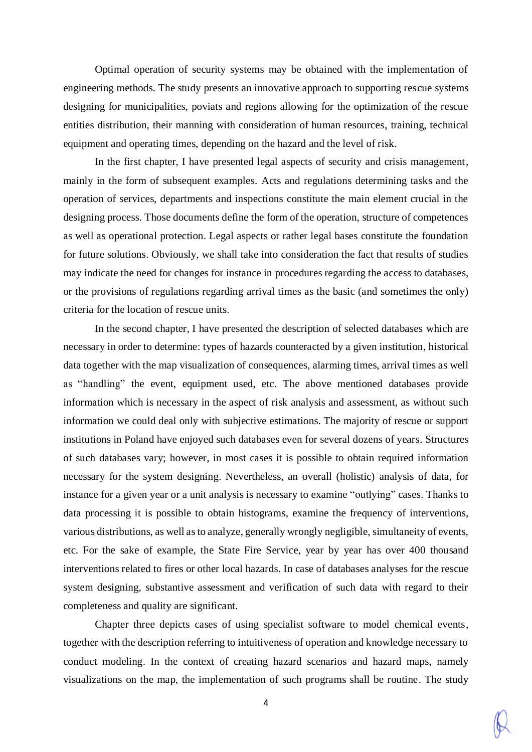Optimal operation of security systems may be obtained with the implementation of engineering methods. The study presents an innovative approach to supporting rescue systems designing for municipalities, poviats and regions allowing for the optimization of the rescue entities distribution, their manning with consideration of human resources, training, technical equipment and operating times, depending on the hazard and the level of risk.

In the first chapter, I have presented legal aspects of security and crisis management, mainly in the form of subsequent examples. Acts and regulations determining tasks and the operation of services, departments and inspections constitute the main element crucial in the designing process. Those documents define the form of the operation, structure of competences as well as operational protection. Legal aspects or rather legal bases constitute the foundation for future solutions. Obviously, we shall take into consideration the fact that results of studies may indicate the need for changes for instance in procedures regarding the access to databases, or the provisions of regulations regarding arrival times as the basic (and sometimes the only) criteria for the location of rescue units.

In the second chapter, I have presented the description of selected databases which are necessary in order to determine: types of hazards counteracted by a given institution, historical data together with the map visualization of consequences, alarming times, arrival times as well as "handling" the event, equipment used, etc. The above mentioned databases provide information which is necessary in the aspect of risk analysis and assessment, as without such information we could deal only with subjective estimations. The majority of rescue or support institutions in Poland have enjoyed such databases even for several dozens of years. Structures of such databases vary; however, in most cases it is possible to obtain required information necessary for the system designing. Nevertheless, an overall (holistic) analysis of data, for instance for a given year or a unit analysis is necessary to examine "outlying" cases. Thanks to data processing it is possible to obtain histograms, examine the frequency of interventions, various distributions, as well as to analyze, generally wrongly negligible, simultaneity of events, etc. For the sake of example, the State Fire Service, year by year has over 400 thousand interventions related to fires or other local hazards. In case of databases analyses for the rescue system designing, substantive assessment and verification of such data with regard to their completeness and quality are significant.

Chapter three depicts cases of using specialist software to model chemical events, together with the description referring to intuitiveness of operation and knowledge necessary to conduct modeling. In the context of creating hazard scenarios and hazard maps, namely visualizations on the map, the implementation of such programs shall be routine. The study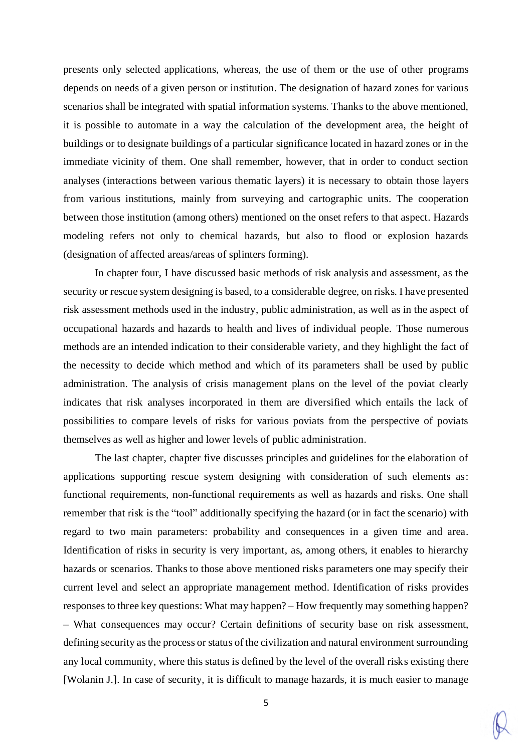presents only selected applications, whereas, the use of them or the use of other programs depends on needs of a given person or institution. The designation of hazard zones for various scenarios shall be integrated with spatial information systems. Thanks to the above mentioned, it is possible to automate in a way the calculation of the development area, the height of buildings or to designate buildings of a particular significance located in hazard zones or in the immediate vicinity of them. One shall remember, however, that in order to conduct section analyses (interactions between various thematic layers) it is necessary to obtain those layers from various institutions, mainly from surveying and cartographic units. The cooperation between those institution (among others) mentioned on the onset refers to that aspect. Hazards modeling refers not only to chemical hazards, but also to flood or explosion hazards (designation of affected areas/areas of splinters forming).

In chapter four, I have discussed basic methods of risk analysis and assessment, as the security or rescue system designing is based, to a considerable degree, on risks. I have presented risk assessment methods used in the industry, public administration, as well as in the aspect of occupational hazards and hazards to health and lives of individual people. Those numerous methods are an intended indication to their considerable variety, and they highlight the fact of the necessity to decide which method and which of its parameters shall be used by public administration. The analysis of crisis management plans on the level of the poviat clearly indicates that risk analyses incorporated in them are diversified which entails the lack of possibilities to compare levels of risks for various poviats from the perspective of poviats themselves as well as higher and lower levels of public administration.

The last chapter, chapter five discusses principles and guidelines for the elaboration of applications supporting rescue system designing with consideration of such elements as: functional requirements, non-functional requirements as well as hazards and risks. One shall remember that risk is the "tool" additionally specifying the hazard (or in fact the scenario) with regard to two main parameters: probability and consequences in a given time and area. Identification of risks in security is very important, as, among others, it enables to hierarchy hazards or scenarios. Thanks to those above mentioned risks parameters one may specify their current level and select an appropriate management method. Identification of risks provides responses to three key questions: What may happen? – How frequently may something happen? – What consequences may occur? Certain definitions of security base on risk assessment, defining security as the process or status of the civilization and natural environment surrounding any local community, where this status is defined by the level of the overall risks existing there [Wolanin J.]. In case of security, it is difficult to manage hazards, it is much easier to manage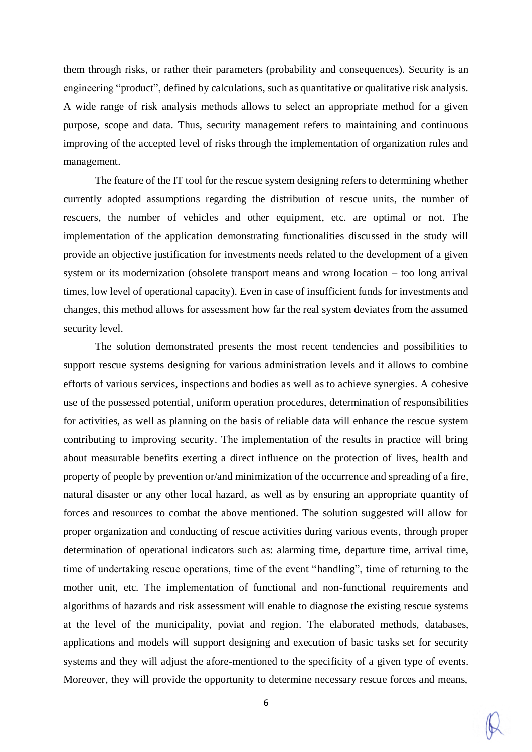them through risks, or rather their parameters (probability and consequences). Security is an engineering "product", defined by calculations, such as quantitative or qualitative risk analysis. A wide range of risk analysis methods allows to select an appropriate method for a given purpose, scope and data. Thus, security management refers to maintaining and continuous improving of the accepted level of risks through the implementation of organization rules and management.

The feature of the IT tool for the rescue system designing refers to determining whether currently adopted assumptions regarding the distribution of rescue units, the number of rescuers, the number of vehicles and other equipment, etc. are optimal or not. The implementation of the application demonstrating functionalities discussed in the study will provide an objective justification for investments needs related to the development of a given system or its modernization (obsolete transport means and wrong location – too long arrival times, low level of operational capacity). Even in case of insufficient funds for investments and changes, this method allows for assessment how far the real system deviates from the assumed security level.

The solution demonstrated presents the most recent tendencies and possibilities to support rescue systems designing for various administration levels and it allows to combine efforts of various services, inspections and bodies as well as to achieve synergies. A cohesive use of the possessed potential, uniform operation procedures, determination of responsibilities for activities, as well as planning on the basis of reliable data will enhance the rescue system contributing to improving security. The implementation of the results in practice will bring about measurable benefits exerting a direct influence on the protection of lives, health and property of people by prevention or/and minimization of the occurrence and spreading of a fire, natural disaster or any other local hazard, as well as by ensuring an appropriate quantity of forces and resources to combat the above mentioned. The solution suggested will allow for proper organization and conducting of rescue activities during various events, through proper determination of operational indicators such as: alarming time, departure time, arrival time, time of undertaking rescue operations, time of the event "handling", time of returning to the mother unit, etc. The implementation of functional and non-functional requirements and algorithms of hazards and risk assessment will enable to diagnose the existing rescue systems at the level of the municipality, poviat and region. The elaborated methods, databases, applications and models will support designing and execution of basic tasks set for security systems and they will adjust the afore-mentioned to the specificity of a given type of events. Moreover, they will provide the opportunity to determine necessary rescue forces and means,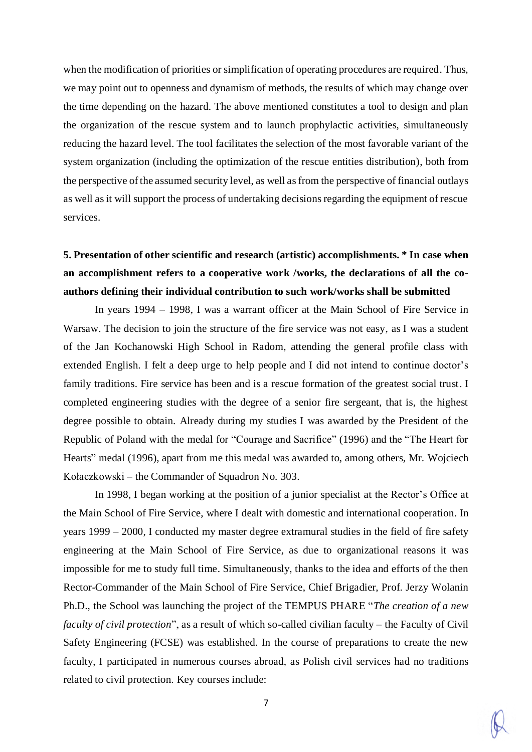when the modification of priorities or simplification of operating procedures are required. Thus, we may point out to openness and dynamism of methods, the results of which may change over the time depending on the hazard. The above mentioned constitutes a tool to design and plan the organization of the rescue system and to launch prophylactic activities, simultaneously reducing the hazard level. The tool facilitates the selection of the most favorable variant of the system organization (including the optimization of the rescue entities distribution), both from the perspective of the assumed security level, as well as from the perspective of financial outlays as well as it will support the process of undertaking decisions regarding the equipment of rescue services.

# **5. Presentation of other scientific and research (artistic) accomplishments. \* In case when an accomplishment refers to a cooperative work /works, the declarations of all the coauthors defining their individual contribution to such work/works shall be submitted**

In years 1994 – 1998, I was a warrant officer at the Main School of Fire Service in Warsaw. The decision to join the structure of the fire service was not easy, as I was a student of the Jan Kochanowski High School in Radom, attending the general profile class with extended English. I felt a deep urge to help people and I did not intend to continue doctor's family traditions. Fire service has been and is a rescue formation of the greatest social trust. I completed engineering studies with the degree of a senior fire sergeant, that is, the highest degree possible to obtain. Already during my studies I was awarded by the President of the Republic of Poland with the medal for "Courage and Sacrifice" (1996) and the "The Heart for Hearts" medal (1996), apart from me this medal was awarded to, among others, Mr. Wojciech Kołaczkowski – the Commander of Squadron No. 303.

In 1998, I began working at the position of a junior specialist at the Rector's Office at the Main School of Fire Service, where I dealt with domestic and international cooperation. In years 1999 – 2000, I conducted my master degree extramural studies in the field of fire safety engineering at the Main School of Fire Service, as due to organizational reasons it was impossible for me to study full time. Simultaneously, thanks to the idea and efforts of the then Rector-Commander of the Main School of Fire Service, Chief Brigadier, Prof. Jerzy Wolanin Ph.D., the School was launching the project of the TEMPUS PHARE "*The creation of a new faculty of civil protection*", as a result of which so-called civilian faculty – the Faculty of Civil Safety Engineering (FCSE) was established. In the course of preparations to create the new faculty, I participated in numerous courses abroad, as Polish civil services had no traditions related to civil protection. Key courses include: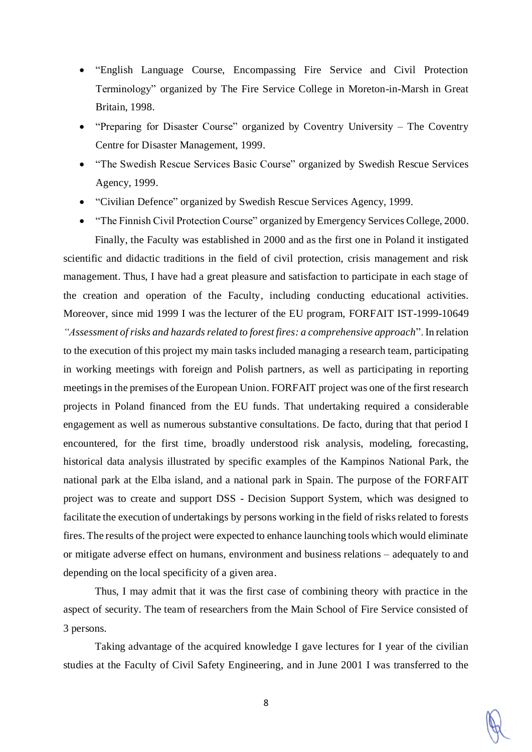- "English Language Course, Encompassing Fire Service and Civil Protection Terminology" organized by The Fire Service College in Moreton-in-Marsh in Great Britain, 1998.
- "Preparing for Disaster Course" organized by Coventry University The Coventry Centre for Disaster Management, 1999.
- "The Swedish Rescue Services Basic Course" organized by Swedish Rescue Services Agency, 1999.
- "Civilian Defence" organized by Swedish Rescue Services Agency, 1999.

 "The Finnish Civil Protection Course" organized by Emergency Services College, 2000. Finally, the Faculty was established in 2000 and as the first one in Poland it instigated scientific and didactic traditions in the field of civil protection, crisis management and risk management. Thus, I have had a great pleasure and satisfaction to participate in each stage of the creation and operation of the Faculty, including conducting educational activities. Moreover, since mid 1999 I was the lecturer of the EU program, FORFAIT IST-1999-10649 *"Assessment of risks and hazards related to forest fires: a comprehensive approach*". In relation to the execution of this project my main tasks included managing a research team, participating in working meetings with foreign and Polish partners, as well as participating in reporting meetings in the premises of the European Union. FORFAIT project was one of the first research projects in Poland financed from the EU funds. That undertaking required a considerable engagement as well as numerous substantive consultations. De facto, during that that period I encountered, for the first time, broadly understood risk analysis, modeling, forecasting, historical data analysis illustrated by specific examples of the Kampinos National Park, the national park at the Elba island, and a national park in Spain. The purpose of the FORFAIT project was to create and support DSS - Decision Support System, which was designed to facilitate the execution of undertakings by persons working in the field of risks related to forests fires. The results of the project were expected to enhance launching tools which would eliminate or mitigate adverse effect on humans, environment and business relations – adequately to and depending on the local specificity of a given area.

Thus, I may admit that it was the first case of combining theory with practice in the aspect of security. The team of researchers from the Main School of Fire Service consisted of 3 persons.

Taking advantage of the acquired knowledge I gave lectures for I year of the civilian studies at the Faculty of Civil Safety Engineering, and in June 2001 I was transferred to the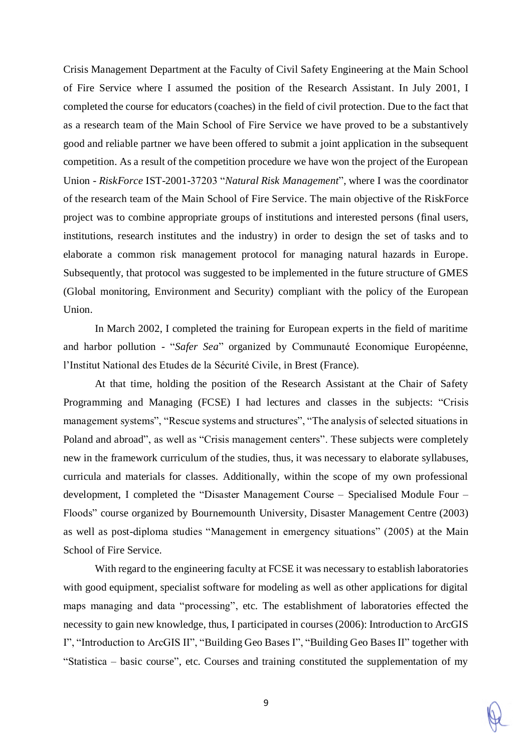Crisis Management Department at the Faculty of Civil Safety Engineering at the Main School of Fire Service where I assumed the position of the Research Assistant. In July 2001, I completed the course for educators (coaches) in the field of civil protection. Due to the fact that as a research team of the Main School of Fire Service we have proved to be a substantively good and reliable partner we have been offered to submit a joint application in the subsequent competition. As a result of the competition procedure we have won the project of the European Union - *RiskForce* IST-2001-37203 "*Natural Risk Management*", where I was the coordinator of the research team of the Main School of Fire Service. The main objective of the RiskForce project was to combine appropriate groups of institutions and interested persons (final users, institutions, research institutes and the industry) in order to design the set of tasks and to elaborate a common risk management protocol for managing natural hazards in Europe. Subsequently, that protocol was suggested to be implemented in the future structure of GMES (Global monitoring, Environment and Security) compliant with the policy of the European Union.

In March 2002, I completed the training for European experts in the field of maritime and harbor pollution - "*Safer Sea*" organized by Communauté Economique Européenne, l'Institut National des Etudes de la Sécurité Civile, in Brest (France).

At that time, holding the position of the Research Assistant at the Chair of Safety Programming and Managing (FCSE) I had lectures and classes in the subjects: "Crisis management systems", "Rescue systems and structures", "The analysis of selected situations in Poland and abroad", as well as "Crisis management centers". These subjects were completely new in the framework curriculum of the studies, thus, it was necessary to elaborate syllabuses, curricula and materials for classes. Additionally, within the scope of my own professional development, I completed the "Disaster Management Course – Specialised Module Four – Floods" course organized by Bournemounth University, Disaster Management Centre (2003) as well as post-diploma studies "Management in emergency situations" (2005) at the Main School of Fire Service.

With regard to the engineering faculty at FCSE it was necessary to establish laboratories with good equipment, specialist software for modeling as well as other applications for digital maps managing and data "processing", etc. The establishment of laboratories effected the necessity to gain new knowledge, thus, I participated in courses (2006): Introduction to ArcGIS I", "Introduction to ArcGIS II", "Building Geo Bases I", "Building Geo Bases II" together with "Statistica – basic course", etc. Courses and training constituted the supplementation of my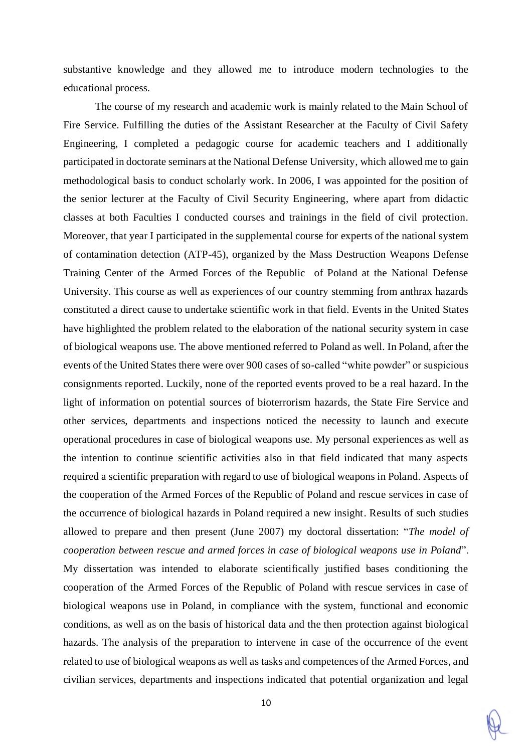substantive knowledge and they allowed me to introduce modern technologies to the educational process.

The course of my research and academic work is mainly related to the Main School of Fire Service. Fulfilling the duties of the Assistant Researcher at the Faculty of Civil Safety Engineering, I completed a pedagogic course for academic teachers and I additionally participated in doctorate seminars at the National Defense University, which allowed me to gain methodological basis to conduct scholarly work. In 2006, I was appointed for the position of the senior lecturer at the Faculty of Civil Security Engineering, where apart from didactic classes at both Faculties I conducted courses and trainings in the field of civil protection. Moreover, that year I participated in the supplemental course for experts of the national system of contamination detection (ATP-45), organized by the Mass Destruction Weapons Defense Training Center of the Armed Forces of the Republic of Poland at the National Defense University. This course as well as experiences of our country stemming from anthrax hazards constituted a direct cause to undertake scientific work in that field. Events in the United States have highlighted the problem related to the elaboration of the national security system in case of biological weapons use. The above mentioned referred to Poland as well. In Poland, after the events of the United States there were over 900 cases of so-called "white powder" or suspicious consignments reported. Luckily, none of the reported events proved to be a real hazard. In the light of information on potential sources of bioterrorism hazards, the State Fire Service and other services, departments and inspections noticed the necessity to launch and execute operational procedures in case of biological weapons use. My personal experiences as well as the intention to continue scientific activities also in that field indicated that many aspects required a scientific preparation with regard to use of biological weapons in Poland. Aspects of the cooperation of the Armed Forces of the Republic of Poland and rescue services in case of the occurrence of biological hazards in Poland required a new insight. Results of such studies allowed to prepare and then present (June 2007) my doctoral dissertation: "*The model of cooperation between rescue and armed forces in case of biological weapons use in Poland*". My dissertation was intended to elaborate scientifically justified bases conditioning the cooperation of the Armed Forces of the Republic of Poland with rescue services in case of biological weapons use in Poland, in compliance with the system, functional and economic conditions, as well as on the basis of historical data and the then protection against biological hazards. The analysis of the preparation to intervene in case of the occurrence of the event related to use of biological weapons as well as tasks and competences of the Armed Forces, and civilian services, departments and inspections indicated that potential organization and legal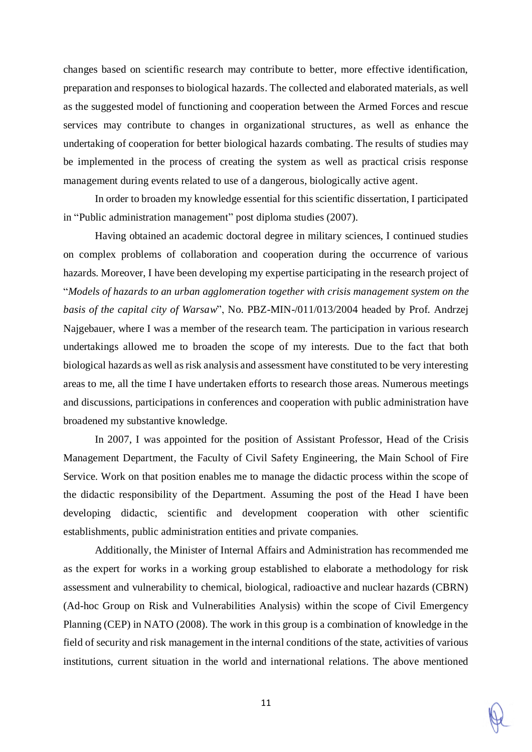changes based on scientific research may contribute to better, more effective identification, preparation and responses to biological hazards. The collected and elaborated materials, as well as the suggested model of functioning and cooperation between the Armed Forces and rescue services may contribute to changes in organizational structures, as well as enhance the undertaking of cooperation for better biological hazards combating. The results of studies may be implemented in the process of creating the system as well as practical crisis response management during events related to use of a dangerous, biologically active agent.

In order to broaden my knowledge essential for this scientific dissertation, I participated in "Public administration management" post diploma studies (2007).

Having obtained an academic doctoral degree in military sciences, I continued studies on complex problems of collaboration and cooperation during the occurrence of various hazards. Moreover, I have been developing my expertise participating in the research project of "*Models of hazards to an urban agglomeration together with crisis management system on the basis of the capital city of Warsaw*", No. PBZ-MIN-/011/013/2004 headed by Prof. Andrzej Najgebauer, where I was a member of the research team. The participation in various research undertakings allowed me to broaden the scope of my interests. Due to the fact that both biological hazards as well asrisk analysis and assessment have constituted to be very interesting areas to me, all the time I have undertaken efforts to research those areas. Numerous meetings and discussions, participations in conferences and cooperation with public administration have broadened my substantive knowledge.

In 2007, I was appointed for the position of Assistant Professor, Head of the Crisis Management Department, the Faculty of Civil Safety Engineering, the Main School of Fire Service. Work on that position enables me to manage the didactic process within the scope of the didactic responsibility of the Department. Assuming the post of the Head I have been developing didactic, scientific and development cooperation with other scientific establishments, public administration entities and private companies.

Additionally, the Minister of Internal Affairs and Administration has recommended me as the expert for works in a working group established to elaborate a methodology for risk assessment and vulnerability to chemical, biological, radioactive and nuclear hazards (CBRN) (Ad-hoc Group on Risk and Vulnerabilities Analysis) within the scope of Civil Emergency Planning (CEP) in NATO (2008). The work in this group is a combination of knowledge in the field of security and risk management in the internal conditions of the state, activities of various institutions, current situation in the world and international relations. The above mentioned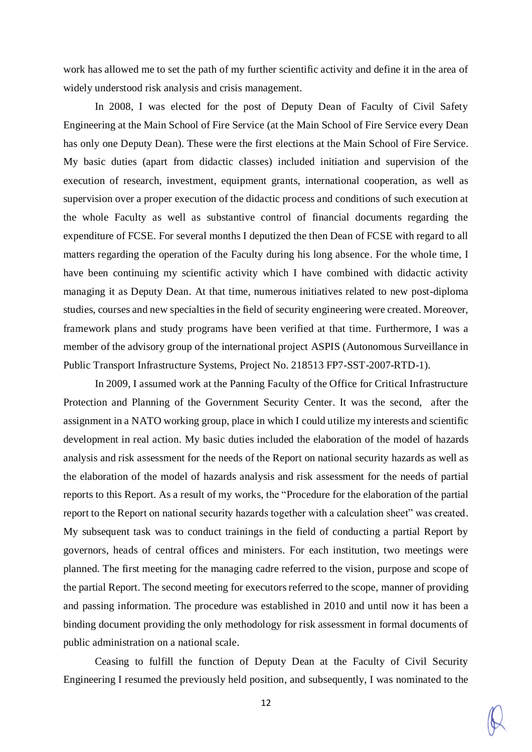work has allowed me to set the path of my further scientific activity and define it in the area of widely understood risk analysis and crisis management.

In 2008, I was elected for the post of Deputy Dean of Faculty of Civil Safety Engineering at the Main School of Fire Service (at the Main School of Fire Service every Dean has only one Deputy Dean). These were the first elections at the Main School of Fire Service. My basic duties (apart from didactic classes) included initiation and supervision of the execution of research, investment, equipment grants, international cooperation, as well as supervision over a proper execution of the didactic process and conditions of such execution at the whole Faculty as well as substantive control of financial documents regarding the expenditure of FCSE. For several months I deputized the then Dean of FCSE with regard to all matters regarding the operation of the Faculty during his long absence. For the whole time, I have been continuing my scientific activity which I have combined with didactic activity managing it as Deputy Dean. At that time, numerous initiatives related to new post-diploma studies, courses and new specialties in the field of security engineering were created. Moreover, framework plans and study programs have been verified at that time. Furthermore, I was a member of the advisory group of the international project ASPIS (Autonomous Surveillance in Public Transport Infrastructure Systems, Project No. 218513 FP7-SST-2007-RTD-1).

In 2009, I assumed work at the Panning Faculty of the Office for Critical Infrastructure Protection and Planning of the Government Security Center. It was the second, after the assignment in a NATO working group, place in which I could utilize my interests and scientific development in real action. My basic duties included the elaboration of the model of hazards analysis and risk assessment for the needs of the Report on national security hazards as well as the elaboration of the model of hazards analysis and risk assessment for the needs of partial reports to this Report. As a result of my works, the "Procedure for the elaboration of the partial report to the Report on national security hazards together with a calculation sheet" was created. My subsequent task was to conduct trainings in the field of conducting a partial Report by governors, heads of central offices and ministers. For each institution, two meetings were planned. The first meeting for the managing cadre referred to the vision, purpose and scope of the partial Report. The second meeting for executors referred to the scope, manner of providing and passing information. The procedure was established in 2010 and until now it has been a binding document providing the only methodology for risk assessment in formal documents of public administration on a national scale.

Ceasing to fulfill the function of Deputy Dean at the Faculty of Civil Security Engineering I resumed the previously held position, and subsequently, I was nominated to the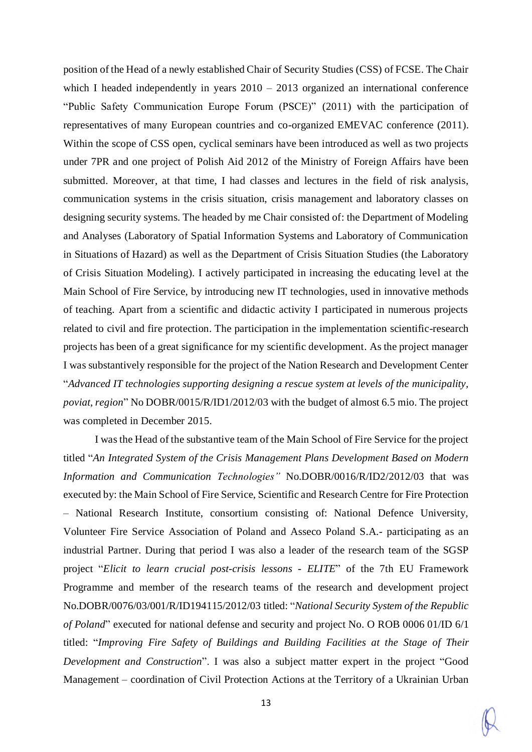position of the Head of a newly established Chair of Security Studies (CSS) of FCSE. The Chair which I headed independently in years  $2010 - 2013$  organized an international conference "Public Safety Communication Europe Forum (PSCE)" (2011) with the participation of representatives of many European countries and co-organized EMEVAC conference (2011). Within the scope of CSS open, cyclical seminars have been introduced as well as two projects under 7PR and one project of Polish Aid 2012 of the Ministry of Foreign Affairs have been submitted. Moreover, at that time, I had classes and lectures in the field of risk analysis, communication systems in the crisis situation, crisis management and laboratory classes on designing security systems. The headed by me Chair consisted of: the Department of Modeling and Analyses (Laboratory of Spatial Information Systems and Laboratory of Communication in Situations of Hazard) as well as the Department of Crisis Situation Studies (the Laboratory of Crisis Situation Modeling). I actively participated in increasing the educating level at the Main School of Fire Service, by introducing new IT technologies, used in innovative methods of teaching. Apart from a scientific and didactic activity I participated in numerous projects related to civil and fire protection. The participation in the implementation scientific-research projects has been of a great significance for my scientific development. As the project manager I was substantively responsible for the project of the Nation Research and Development Center "*Advanced IT technologies supporting designing a rescue system at levels of the municipality, poviat, region*" No DOBR/0015/R/ID1/2012/03 with the budget of almost 6.5 mio. The project was completed in December 2015.

I wasthe Head of the substantive team of the Main School of Fire Service for the project titled "*An Integrated System of the Crisis Management Plans Development Based on Modern Information and Communication Technologies"* No.DOBR/0016/R/ID2/2012/03 that was executed by: the Main School of Fire Service, Scientific and Research Centre for Fire Protection – National Research Institute, consortium consisting of: National Defence University, Volunteer Fire Service Association of Poland and Asseco Poland S.A.- participating as an industrial Partner. During that period I was also a leader of the research team of the SGSP project "*Elicit to learn crucial post-crisis lessons - ELITE*" of the 7th EU Framework Programme and member of the research teams of the research and development project No.DOBR/0076/03/001/R/ID194115/2012/03 titled: "*National Security System of the Republic of Poland*" executed for national defense and security and project No. O ROB 0006 01/ID 6/1 titled: "*Improving Fire Safety of Buildings and Building Facilities at the Stage of Their Development and Construction*". I was also a subject matter expert in the project "Good Management – coordination of Civil Protection Actions at the Territory of a Ukrainian Urban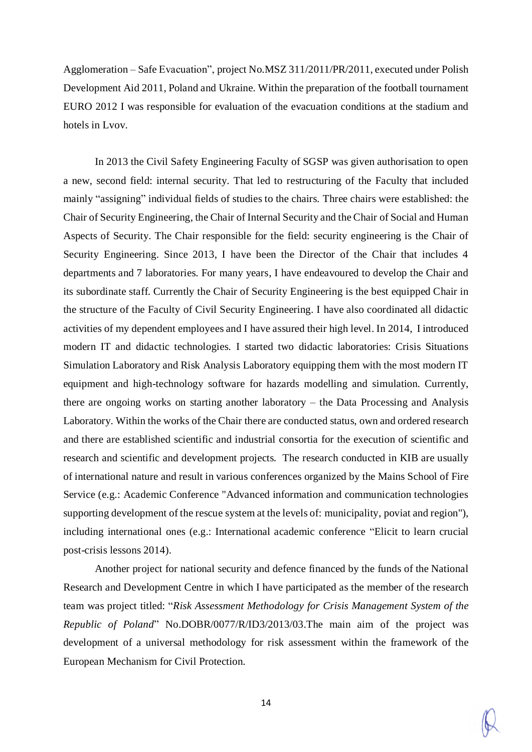Agglomeration – Safe Evacuation", project No.MSZ 311/2011/PR/2011, executed under Polish Development Aid 2011, Poland and Ukraine. Within the preparation of the football tournament EURO 2012 I was responsible for evaluation of the evacuation conditions at the stadium and hotels in Lvov.

In 2013 the Civil Safety Engineering Faculty of SGSP was given authorisation to open a new, second field: internal security. That led to restructuring of the Faculty that included mainly "assigning" individual fields of studies to the chairs. Three chairs were established: the Chair of Security Engineering, the Chair of Internal Security and the Chair of Social and Human Aspects of Security. The Chair responsible for the field: security engineering is the Chair of Security Engineering. Since 2013, I have been the Director of the Chair that includes 4 departments and 7 laboratories. For many years, I have endeavoured to develop the Chair and its subordinate staff. Currently the Chair of Security Engineering is the best equipped Chair in the structure of the Faculty of Civil Security Engineering. I have also coordinated all didactic activities of my dependent employees and I have assured their high level. In 2014, I introduced modern IT and didactic technologies. I started two didactic laboratories: Crisis Situations Simulation Laboratory and Risk Analysis Laboratory equipping them with the most modern IT equipment and high-technology software for hazards modelling and simulation. Currently, there are ongoing works on starting another laboratory – the Data Processing and Analysis Laboratory. Within the works of the Chair there are conducted status, own and ordered research and there are established scientific and industrial consortia for the execution of scientific and research and scientific and development projects. The research conducted in KIB are usually of international nature and result in various conferences organized by the Mains School of Fire Service (e.g.: Academic Conference "Advanced information and communication technologies supporting development of the rescue system at the levels of: municipality, poviat and region"), including international ones (e.g.: International academic conference "Elicit to learn crucial post-crisis lessons 2014).

Another project for national security and defence financed by the funds of the National Research and Development Centre in which I have participated as the member of the research team was project titled: "*Risk Assessment Methodology for Crisis Management System of the Republic of Poland*" No.DOBR/0077/R/ID3/2013/03.The main aim of the project was development of a universal methodology for risk assessment within the framework of the European Mechanism for Civil Protection.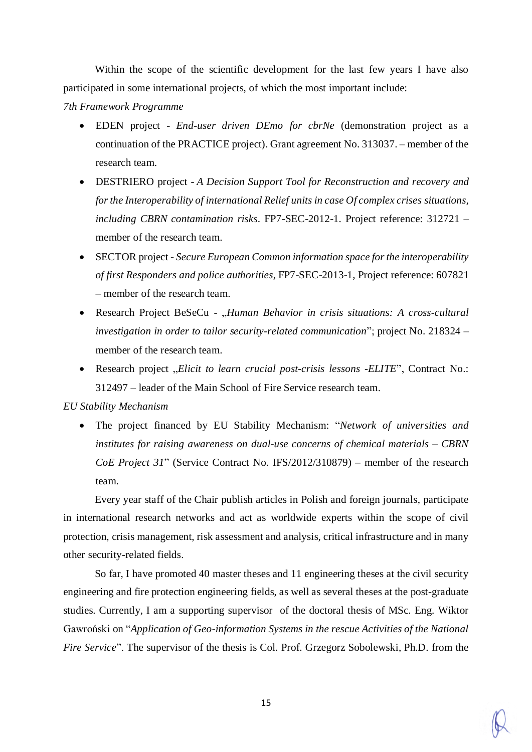Within the scope of the scientific development for the last few years I have also participated in some international projects, of which the most important include:

*7th Framework Programme*

- EDEN project *End-user driven DEmo for cbrNe* (demonstration project as a continuation of the PRACTICE project). Grant agreement No. 313037. – member of the research team.
- DESTRIERO project *A Decision Support Tool for Reconstruction and recovery and forthe Interoperability of international Relief units in case Of complex crises situations, including CBRN contamination risks*. FP7-SEC-2012-1. Project reference: 312721 – member of the research team.
- SECTOR project *Secure European Common information space forthe interoperability of first Responders and police authorities*, FP7-SEC-2013-1, Project reference: 607821 – member of the research team.
- Research Project BeSeCu "*Human Behavior in crisis situations: A cross-cultural investigation in order to tailor security-related communication*"; project No. 218324 – member of the research team.
- Research project "*Elicit to learn crucial post-crisis lessons -ELITE*", Contract No.: 312497 – leader of the Main School of Fire Service research team.

#### *EU Stability Mechanism*

 The project financed by EU Stability Mechanism: "*Network of universities and institutes for raising awareness on dual-use concerns of chemical materials – CBRN CoE Project 31*" (Service Contract No. IFS/2012/310879) – member of the research team.

Every year staff of the Chair publish articles in Polish and foreign journals, participate in international research networks and act as worldwide experts within the scope of civil protection, crisis management, risk assessment and analysis, critical infrastructure and in many other security-related fields.

So far, I have promoted 40 master theses and 11 engineering theses at the civil security engineering and fire protection engineering fields, as well as several theses at the post-graduate studies. Currently, I am a supporting supervisor of the doctoral thesis of MSc. Eng. Wiktor Gawroński on "*Application of Geo-information Systems in the rescue Activities of the National Fire Service*". The supervisor of the thesis is Col. Prof. Grzegorz Sobolewski, Ph.D. from the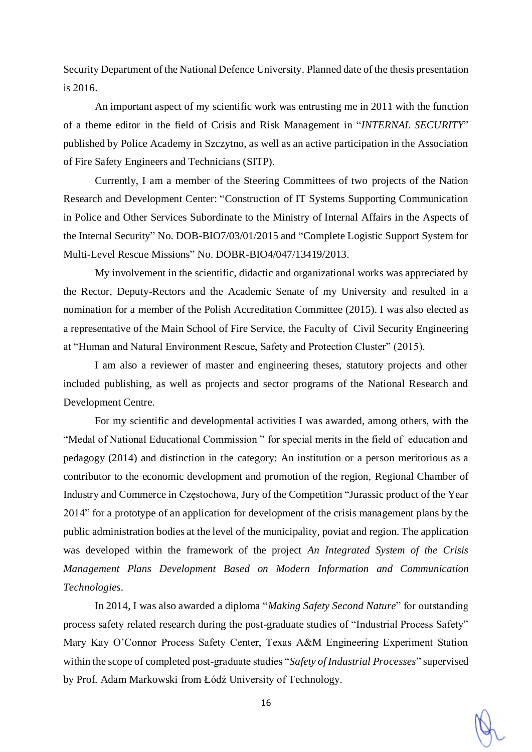Security Department of the National Defence University. Planned date of the thesis presentation is 2016.

An important aspect of my scientific work was entrusting me in 2011 with the function of a theme editor in the field of Crisis and Risk Management in "*INTERNAL SECURITY*" published by Police Academy in Szczytno, as well as an active participation in the Association of Fire Safety Engineers and Technicians (SITP).

Currently, I am a member of the Steering Committees of two projects of the Nation Research and Development Center: "Construction of IT Systems Supporting Communication in Police and Other Services Subordinate to the Ministry of Internal Affairs in the Aspects of the Internal Security" No. DOB-BIO7/03/01/2015 and "Complete Logistic Support System for Multi-Level Rescue Missions" No. DOBR-BIO4/047/13419/2013.

My involvement in the scientific, didactic and organizational works was appreciated by the Rector, Deputy-Rectors and the Academic Senate of my University and resulted in a nomination for a member of the Polish Accreditation Committee (2015). I was also elected as a representative of the Main School of Fire Service, the Faculty of Civil Security Engineering at "Human and Natural Environment Rescue, Safety and Protection Cluster" (2015).

I am also a reviewer of master and engineering theses, statutory projects and other included publishing, as well as projects and sector programs of the National Research and Development Centre.

For my scientific and developmental activities I was awarded, among others, with the "Medal of National Educational Commission " for special merits in the field of education and pedagogy (2014) and distinction in the category: An institution or a person meritorious as a contributor to the economic development and promotion of the region, Regional Chamber of Industry and Commerce in Częstochowa, Jury of the Competition "Jurassic product of the Year 2014" for a prototype of an application for development of the crisis management plans by the public administration bodies at the level of the municipality, poviat and region. The application was developed within the framework of the project *An Integrated System of the Crisis Management Plans Development Based on Modern Information and Communication Technologies.*

In 2014, I was also awarded a diploma "*Making Safety Second Nature*" for outstanding process safety related research during the post-graduate studies of "Industrial Process Safety" Mary Kay O'Connor Process Safety Center, Texas A&M Engineering Experiment Station within the scope of completed post-graduate studies "*Safety of Industrial Processes*" supervised by Prof. Adam Markowski from Łódź University of Technology.